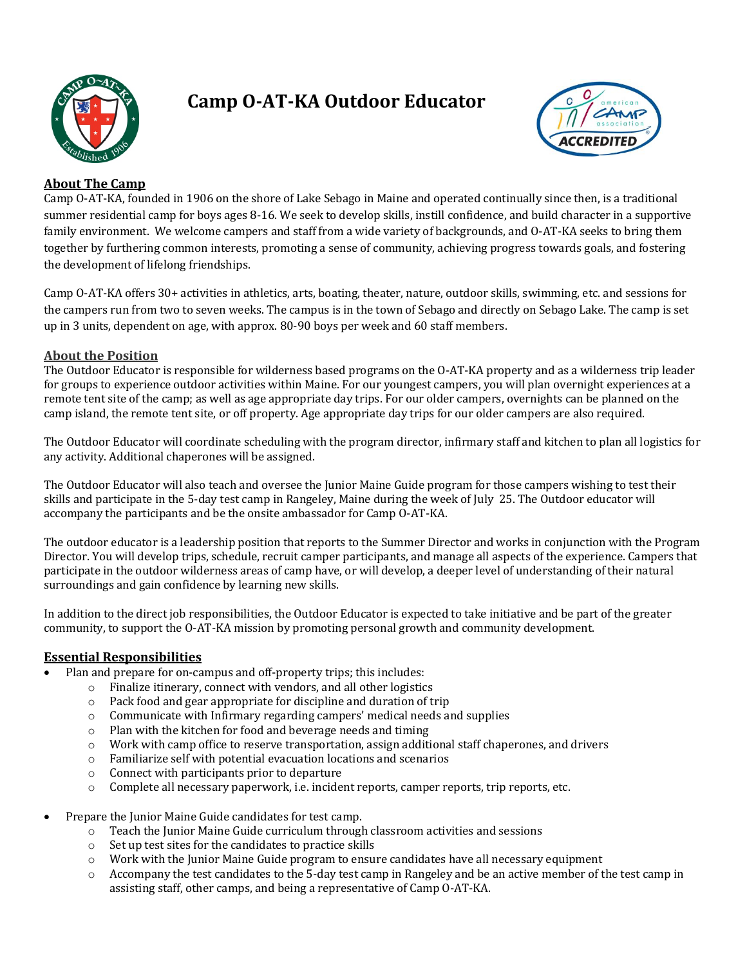

# **Camp O-AT-KA Outdoor Educator**



## **About The Camp**

Camp O-AT-KA, founded in 1906 on the shore of Lake Sebago in Maine and operated continually since then, is a traditional summer residential camp for boys ages 8-16. We seek to develop skills, instill confidence, and build character in a supportive family environment. We welcome campers and staff from a wide variety of backgrounds, and O-AT-KA seeks to bring them together by furthering common interests, promoting a sense of community, achieving progress towards goals, and fostering the development of lifelong friendships.

Camp O-AT-KA offers 30+ activities in athletics, arts, boating, theater, nature, outdoor skills, swimming, etc. and sessions for the campers run from two to seven weeks. The campus is in the town of Sebago and directly on Sebago Lake. The camp is set up in 3 units, dependent on age, with approx. 80-90 boys per week and 60 staff members.

## **About the Position**

The Outdoor Educator is responsible for wilderness based programs on the O-AT-KA property and as a wilderness trip leader for groups to experience outdoor activities within Maine. For our youngest campers, you will plan overnight experiences at a remote tent site of the camp; as well as age appropriate day trips. For our older campers, overnights can be planned on the camp island, the remote tent site, or off property. Age appropriate day trips for our older campers are also required.

The Outdoor Educator will coordinate scheduling with the program director, infirmary staff and kitchen to plan all logistics for any activity. Additional chaperones will be assigned.

The Outdoor Educator will also teach and oversee the Junior Maine Guide program for those campers wishing to test their skills and participate in the 5-day test camp in Rangeley, Maine during the week of July 25. The Outdoor educator will accompany the participants and be the onsite ambassador for Camp O-AT-KA.

The outdoor educator is a leadership position that reports to the Summer Director and works in conjunction with the Program Director. You will develop trips, schedule, recruit camper participants, and manage all aspects of the experience. Campers that participate in the outdoor wilderness areas of camp have, or will develop, a deeper level of understanding of their natural surroundings and gain confidence by learning new skills.

In addition to the direct job responsibilities, the Outdoor Educator is expected to take initiative and be part of the greater community, to support the O-AT-KA mission by promoting personal growth and community development.

#### **Essential Responsibilities**

- Plan and prepare for on-campus and off-property trips; this includes:
	- $\circ$  Finalize itinerary, connect with vendors, and all other logistics
	- $\circ$  Pack food and gear appropriate for discipline and duration of trip
	- $\circ$  Communicate with Infirmary regarding campers' medical needs and supplies
	- $\circ$  Plan with the kitchen for food and beverage needs and timing
	- $\circ$  Work with camp office to reserve transportation, assign additional staff chaperones, and drivers
	- $\circ$  Familiarize self with potential evacuation locations and scenarios
	- $\circ$  Connect with participants prior to departure
	- $\circ$  Complete all necessary paperwork, i.e. incident reports, camper reports, trip reports, etc.
- Prepare the Junior Maine Guide candidates for test camp.
	- $\circ$  Teach the Junior Maine Guide curriculum through classroom activities and sessions
	- $\circ$  Set up test sites for the candidates to practice skills
	- $\circ$  Work with the Junior Maine Guide program to ensure candidates have all necessary equipment
	- $\circ$  Accompany the test candidates to the 5-day test camp in Rangeley and be an active member of the test camp in assisting staff, other camps, and being a representative of Camp O-AT-KA.